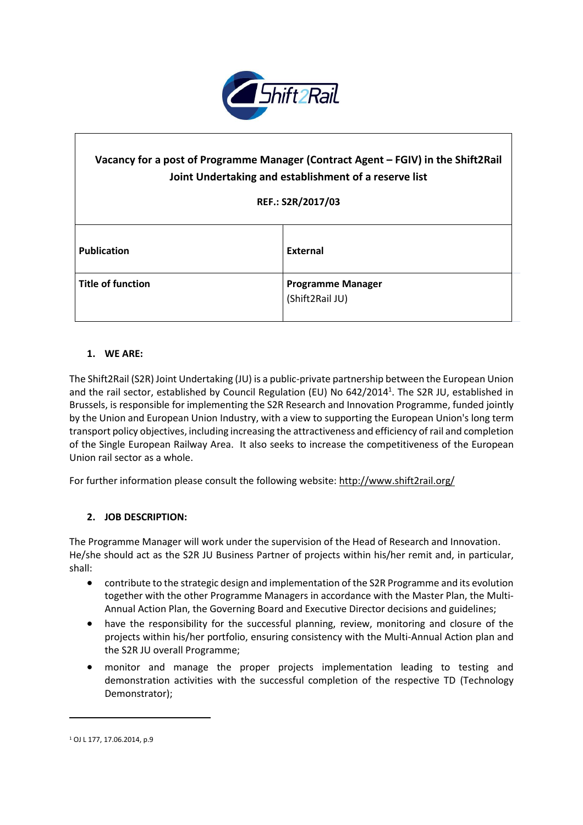

# **Vacancy for a post of Programme Manager (Contract Agent – FGIV) in the Shift2Rail Joint Undertaking and establishment of a reserve list REF.: S2R/2017/03 Publication External Title of function Programme Manager** (Shift2Rail JU)

#### **1. WE ARE:**

The Shift2Rail (S2R) Joint Undertaking (JU) is a public-private partnership between the European Union and the rail sector, established by Council Regulation (EU) No 642/2014<sup>1</sup>. The S2R JU, established in Brussels, is responsible for implementing the S2R Research and Innovation Programme, funded jointly by the Union and European Union Industry, with a view to supporting the European Union's long term transport policy objectives, including increasing the attractiveness and efficiency ofrail and completion of the Single European Railway Area. It also seeks to increase the competitiveness of the European Union rail sector as a whole.

For further information please consult the following website: <http://www.shift2rail.org/>

## **2. JOB DESCRIPTION:**

The Programme Manager will work under the supervision of the Head of Research and Innovation. He/she should act as the S2R JU Business Partner of projects within his/her remit and, in particular, shall:

- contribute to the strategic design and implementation of the S2R Programme and its evolution together with the other Programme Managers in accordance with the Master Plan, the Multi-Annual Action Plan, the Governing Board and Executive Director decisions and guidelines;
- have the responsibility for the successful planning, review, monitoring and closure of the projects within his/her portfolio, ensuring consistency with the Multi-Annual Action plan and the S2R JU overall Programme;
- monitor and manage the proper projects implementation leading to testing and demonstration activities with the successful completion of the respective TD (Technology Demonstrator);

 $\ddot{\phantom{a}}$ 

<sup>1</sup> OJ L 177, 17.06.2014, p.9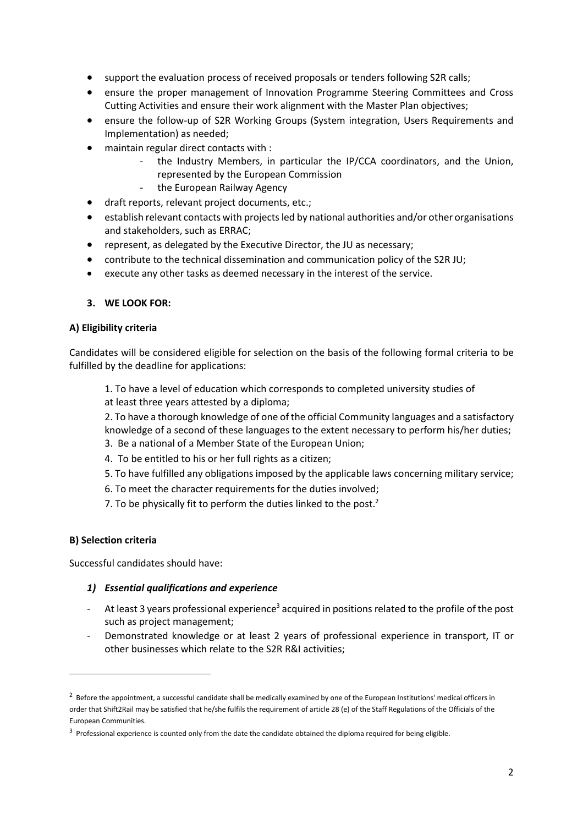- support the evaluation process of received proposals or tenders following S2R calls;
- ensure the proper management of Innovation Programme Steering Committees and Cross Cutting Activities and ensure their work alignment with the Master Plan objectives;
- ensure the follow-up of S2R Working Groups (System integration, Users Requirements and Implementation) as needed;
- maintain regular direct contacts with :
	- the Industry Members, in particular the IP/CCA coordinators, and the Union, represented by the European Commission
	- the European Railway Agency
- draft reports, relevant project documents, etc.;
- establish relevant contacts with projects led by national authorities and/or other organisations and stakeholders, such as ERRAC;
- represent, as delegated by the Executive Director, the JU as necessary;
- contribute to the technical dissemination and communication policy of the S2R JU;
- execute any other tasks as deemed necessary in the interest of the service.

#### **3. WE LOOK FOR:**

#### **A) Eligibility criteria**

Candidates will be considered eligible for selection on the basis of the following formal criteria to be fulfilled by the deadline for applications:

1. To have a level of education which corresponds to completed university studies of at least three years attested by a diploma;

2. To have a thorough knowledge of one of the official Community languages and a satisfactory knowledge of a second of these languages to the extent necessary to perform his/her duties;

- 3. Be a national of a Member State of the European Union;
- 4. To be entitled to his or her full rights as a citizen;
- 5. To have fulfilled any obligations imposed by the applicable laws concerning military service;
- 6. To meet the character requirements for the duties involved;
- 7. To be physically fit to perform the duties linked to the post. $<sup>2</sup>$ </sup>

#### **B) Selection criteria**

 $\overline{a}$ 

Successful candidates should have:

#### *1) Essential qualifications and experience*

- At least 3 years professional experience<sup>3</sup> acquired in positions related to the profile of the post such as project management;
- Demonstrated knowledge or at least 2 years of professional experience in transport, IT or other businesses which relate to the S2R R&I activities;

 $^2$  Before the appointment, a successful candidate shall be medically examined by one of the European Institutions' medical officers in order that Shift2Rail may be satisfied that he/she fulfils the requirement of article 28 (e) of the Staff Regulations of the Officials of the European Communities.

 $3$  Professional experience is counted only from the date the candidate obtained the diploma required for being eligible.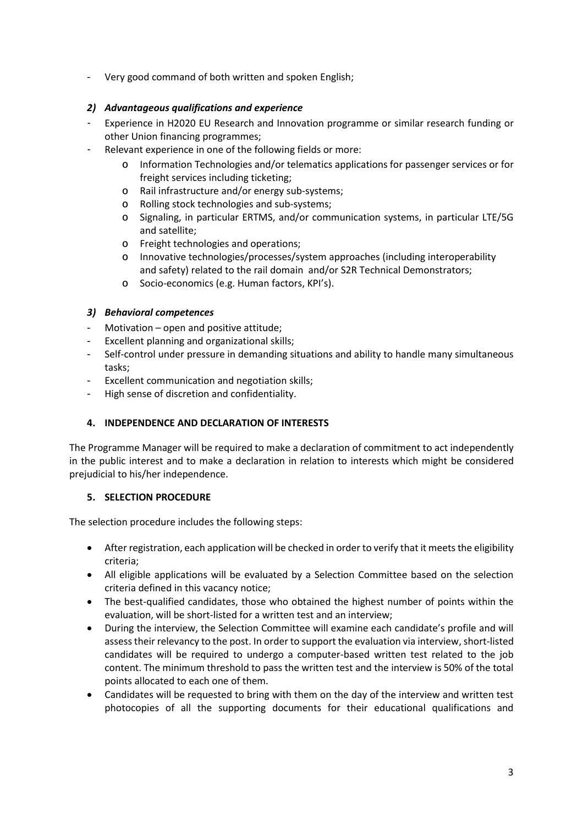- Very good command of both written and spoken English;

# *2) Advantageous qualifications and experience*

- Experience in H2020 EU Research and Innovation programme or similar research funding or other Union financing programmes;
- Relevant experience in one of the following fields or more:
	- Information Technologies and/or telematics applications for passenger services or for freight services including ticketing;
	- o Rail infrastructure and/or energy sub-systems;
	- o Rolling stock technologies and sub-systems;
	- o Signaling, in particular ERTMS, and/or communication systems, in particular LTE/5G and satellite;
	- o Freight technologies and operations;
	- o Innovative technologies/processes/system approaches (including interoperability and safety) related to the rail domain and/or S2R Technical Demonstrators;
	- o Socio-economics (e.g. Human factors, KPI's).

# *3) Behavioral competences*

- Motivation open and positive attitude;
- Excellent planning and organizational skills;
- Self-control under pressure in demanding situations and ability to handle many simultaneous tasks;
- Excellent communication and negotiation skills;
- High sense of discretion and confidentiality.

# **4. INDEPENDENCE AND DECLARATION OF INTERESTS**

The Programme Manager will be required to make a declaration of commitment to act independently in the public interest and to make a declaration in relation to interests which might be considered prejudicial to his/her independence.

## **5. SELECTION PROCEDURE**

The selection procedure includes the following steps:

- After registration, each application will be checked in order to verify that it meets the eligibility criteria;
- All eligible applications will be evaluated by a Selection Committee based on the selection criteria defined in this vacancy notice;
- The best-qualified candidates, those who obtained the highest number of points within the evaluation, will be short-listed for a written test and an interview;
- During the interview, the Selection Committee will examine each candidate's profile and will assess their relevancy to the post. In order to support the evaluation via interview, short-listed candidates will be required to undergo a computer-based written test related to the job content. The minimum threshold to pass the written test and the interview is 50% of the total points allocated to each one of them.
- Candidates will be requested to bring with them on the day of the interview and written test photocopies of all the supporting documents for their educational qualifications and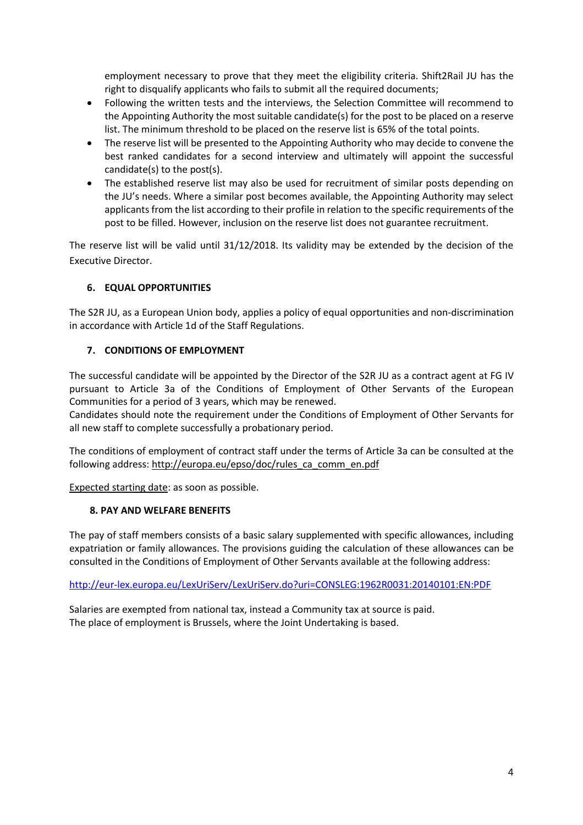employment necessary to prove that they meet the eligibility criteria. Shift2Rail JU has the right to disqualify applicants who fails to submit all the required documents;

- Following the written tests and the interviews, the Selection Committee will recommend to the Appointing Authority the most suitable candidate(s) for the post to be placed on a reserve list. The minimum threshold to be placed on the reserve list is 65% of the total points.
- The reserve list will be presented to the Appointing Authority who may decide to convene the best ranked candidates for a second interview and ultimately will appoint the successful candidate(s) to the post(s).
- The established reserve list may also be used for recruitment of similar posts depending on the JU's needs. Where a similar post becomes available, the Appointing Authority may select applicants from the list according to their profile in relation to the specific requirements of the post to be filled. However, inclusion on the reserve list does not guarantee recruitment.

The reserve list will be valid until 31/12/2018. Its validity may be extended by the decision of the Executive Director.

## **6. EQUAL OPPORTUNITIES**

The S2R JU, as a European Union body, applies a policy of equal opportunities and non-discrimination in accordance with Article 1d of the Staff Regulations.

## **7. CONDITIONS OF EMPLOYMENT**

The successful candidate will be appointed by the Director of the S2R JU as a contract agent at FG IV pursuant to Article 3a of the Conditions of Employment of Other Servants of the European Communities for a period of 3 years, which may be renewed.

Candidates should note the requirement under the Conditions of Employment of Other Servants for all new staff to complete successfully a probationary period.

The conditions of employment of contract staff under the terms of Article 3a can be consulted at the following address: [http://europa.eu/epso/doc/rules\\_ca\\_comm\\_en.pdf](http://europa.eu/epso/doc/rules_ca_comm_en.pdf)

Expected starting date: as soon as possible.

#### **8. PAY AND WELFARE BENEFITS**

The pay of staff members consists of a basic salary supplemented with specific allowances, including expatriation or family allowances. The provisions guiding the calculation of these allowances can be consulted in the Conditions of Employment of Other Servants available at the following address:

<http://eur-lex.europa.eu/LexUriServ/LexUriServ.do?uri=CONSLEG:1962R0031:20140101:EN:PDF>

Salaries are exempted from national tax, instead a Community tax at source is paid. The place of employment is Brussels, where the Joint Undertaking is based.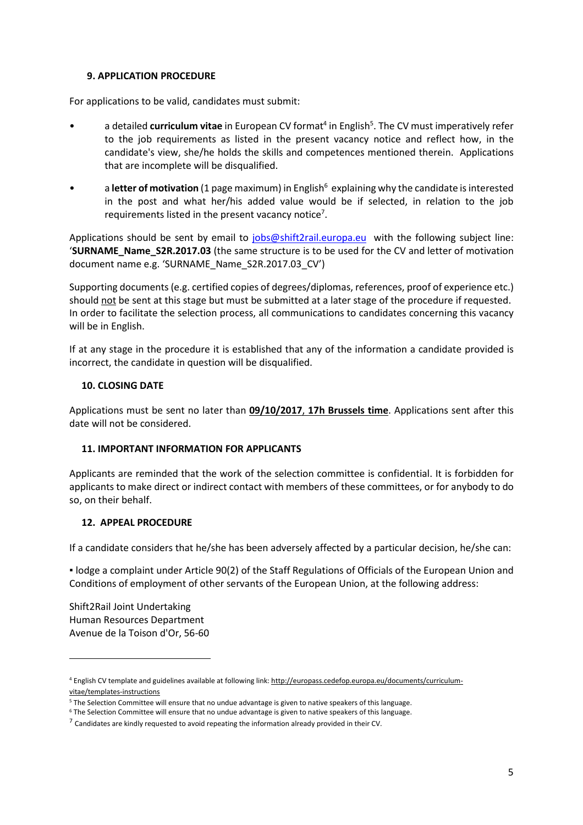#### **9. APPLICATION PROCEDURE**

For applications to be valid, candidates must submit:

- a detailed **curriculum vitae** in European CV format<sup>4</sup> in English<sup>5</sup>. The CV must imperatively refer to the job requirements as listed in the present vacancy notice and reflect how, in the candidate's view, she/he holds the skills and competences mentioned therein. Applications that are incomplete will be disqualified.
- **•** a letter of motivation (1 page maximum) in English<sup>6</sup> explaining why the candidate is interested in the post and what her/his added value would be if selected, in relation to the job requirements listed in the present vacancy notice<sup>7</sup>.

Applications should be sent by email to [jobs@shift2rail.europa.eu](mailto:jobs@shift2rail.europa.eu) with the following subject line: '**SURNAME\_Name\_S2R.2017.03** (the same structure is to be used for the CV and letter of motivation document name e.g. 'SURNAME\_Name\_S2R.2017.03\_CV')

Supporting documents (e.g. certified copies of degrees/diplomas, references, proof of experience etc.) should not be sent at this stage but must be submitted at a later stage of the procedure if requested. In order to facilitate the selection process, all communications to candidates concerning this vacancy will be in English.

If at any stage in the procedure it is established that any of the information a candidate provided is incorrect, the candidate in question will be disqualified.

#### **10. CLOSING DATE**

Applications must be sent no later than **09/10/2017**, **17h Brussels time**. Applications sent after this date will not be considered.

## **11. IMPORTANT INFORMATION FOR APPLICANTS**

Applicants are reminded that the work of the selection committee is confidential. It is forbidden for applicants to make direct or indirect contact with members of these committees, or for anybody to do so, on their behalf.

## **12. APPEAL PROCEDURE**

If a candidate considers that he/she has been adversely affected by a particular decision, he/she can:

▪ lodge a complaint under Article 90(2) of the Staff Regulations of Officials of the European Union and Conditions of employment of other servants of the European Union, at the following address:

Shift2Rail Joint Undertaking Human Resources Department Avenue de la Toison d'Or, 56-60

1

<sup>4</sup> English CV template and guidelines available at following link: [http://europass.cedefop.europa.eu/documents/curriculum](http://europass.cedefop.europa.eu/documents/curriculum-vitae/templates-instructions)[vitae/templates-instructions](http://europass.cedefop.europa.eu/documents/curriculum-vitae/templates-instructions)

<sup>5</sup> The Selection Committee will ensure that no undue advantage is given to native speakers of this language.

<sup>6</sup> The Selection Committee will ensure that no undue advantage is given to native speakers of this language.

 $^7$  Candidates are kindly requested to avoid repeating the information already provided in their CV.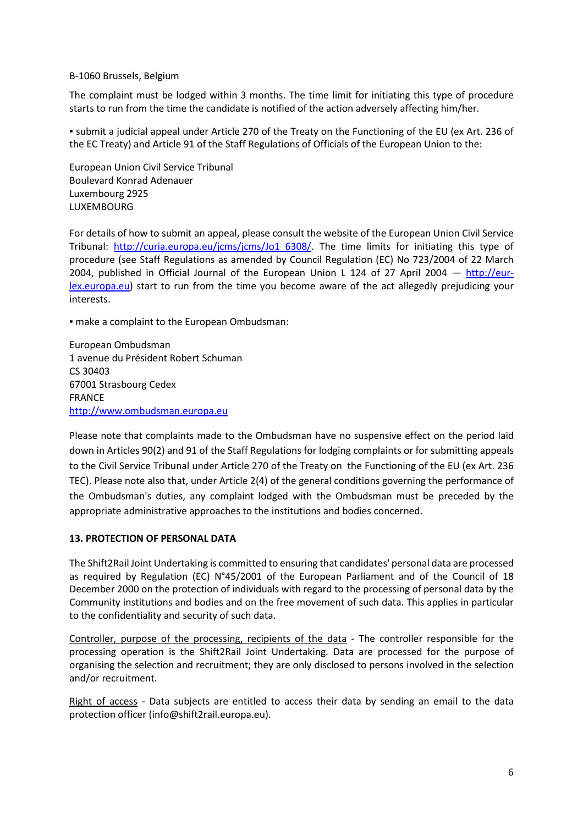#### B-1060 Brussels, Belgium

The complaint must be lodged within 3 months. The time limit for initiating this type of procedure starts to run from the time the candidate is notified of the action adversely affecting him/her.

▪ submit a judicial appeal under Article 270 of the Treaty on the Functioning of the EU (ex Art. 236 of the EC Treaty) and Article 91 of the Staff Regulations of Officials of the European Union to the:

European Union Civil Service Tribunal Boulevard Konrad Adenauer Luxembourg 2925 LUXEMBOURG

For details of how to submit an appeal, please consult the website of the European Union Civil Service Tribunal: [http://curia.europa.eu/jcms/jcms/Jo1\\_6308/.](http://curia.europa.eu/jcms/jcms/Jo1_6308/) The time limits for initiating this type of procedure (see Staff Regulations as amended by Council Regulation (EC) No 723/2004 of 22 March 2004, published in Official Journal of the European Union L 124 of 27 April 2004  $-$  [http://eur](http://eur-lex.europa.eu/)[lex.europa.eu\)](http://eur-lex.europa.eu/) start to run from the time you become aware of the act allegedly prejudicing your interests.

▪ make a complaint to the European Ombudsman:

European Ombudsman 1 avenue du Président Robert Schuman CS 30403 67001 Strasbourg Cedex FRANCE [http://www.ombudsman.europa.eu](http://www.ombudsman.europa.eu/)

Please note that complaints made to the Ombudsman have no suspensive effect on the period laid down in Articles 90(2) and 91 of the Staff Regulations for lodging complaints or for submitting appeals to the Civil Service Tribunal under Article 270 of the Treaty on the Functioning of the EU (ex Art. 236 TEC). Please note also that, under Article 2(4) of the general conditions governing the performance of the Ombudsman's duties, any complaint lodged with the Ombudsman must be preceded by the appropriate administrative approaches to the institutions and bodies concerned.

## **13. PROTECTION OF PERSONAL DATA**

The Shift2Rail Joint Undertaking is committed to ensuring that candidates' personal data are processed as required by Regulation (EC) N°45/2001 of the European Parliament and of the Council of 18 December 2000 on the protection of individuals with regard to the processing of personal data by the Community institutions and bodies and on the free movement of such data. This applies in particular to the confidentiality and security of such data.

Controller, purpose of the processing, recipients of the data - The controller responsible for the processing operation is the Shift2Rail Joint Undertaking. Data are processed for the purpose of organising the selection and recruitment; they are only disclosed to persons involved in the selection and/or recruitment.

Right of access - Data subjects are entitled to access their data by sending an email to the data protection officer (info@shift2rail.europa.eu).